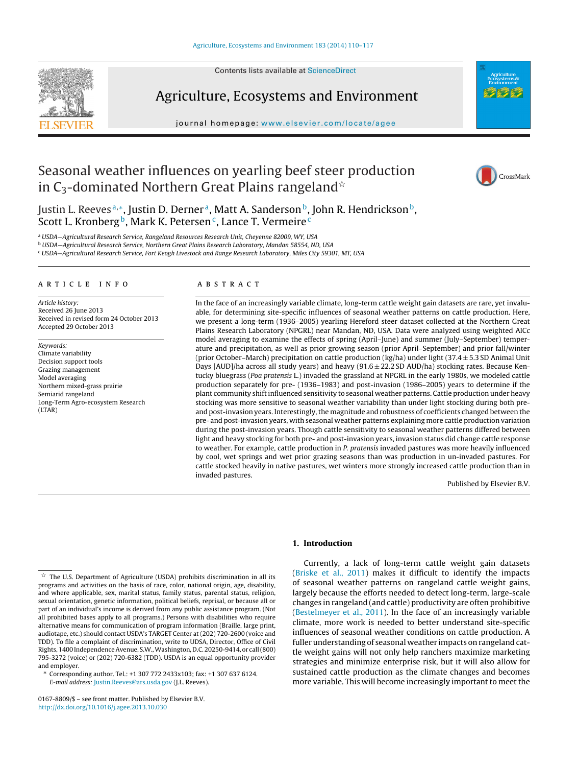Contents lists available at [ScienceDirect](http://www.sciencedirect.com/science/journal/01678809)



# Agriculture, Ecosystems and Environment

journal homepage: [www.elsevier.com/locate/agee](http://www.elsevier.com/locate/agee)



# Seasonal weather influences on yearling beef steer production in C3-dominated Northern Great Plains rangeland $^{\star}$



Justin L. Reeves<sup>a,∗</sup>, Justin D. Derner<sup>a</sup>, Matt A. Sanderson<sup>b</sup>, John R. Hendrickson<sup>b</sup>, Scott L. Kronberg<sup>b</sup>, Mark K. Petersen<sup>c</sup>, Lance T. Vermeire<sup>c</sup>

<sup>a</sup> USDA—Agricultural Research Service, Rangeland Resources Research Unit, Cheyenne 82009, WY, USA

<sup>b</sup> USDA—Agricultural Research Service, Northern Great Plains Research Laboratory, Mandan 58554, ND, USA

<sup>c</sup> USDA—Agricultural Research Service, Fort Keogh Livestock and Range Research Laboratory, Miles City 59301, MT, USA

#### a r t i c l e i n f o

Article history: Received 26 June 2013 Received in revised form 24 October 2013 Accepted 29 October 2013

Keywords: Climate variability Decision support tools Grazing management Model averaging Northern mixed-grass prairie Semiarid rangeland Long-Term Agro-ecosystem Research (LTAR)

## A B S T R A C T

In the face of an increasingly variable climate, long-term cattle weight gain datasets are rare, yet invaluable, for determining site-specific influences of seasonal weather patterns on cattle production. Here, we present a long-term (1936–2005) yearling Hereford steer dataset collected at the Northern Great Plains Research Laboratory (NPGRL) near Mandan, ND, USA. Data were analyzed using weighted AICc model averaging to examine the effects of spring (April–June) and summer (July–September) temperature and precipitation, as well as prior growing season (prior April–September) and prior fall/winter (prior October–March) precipitation on cattle production (kg/ha) under light (37.4  $\pm$  5.3 SD Animal Unit Days [AUD]/ha across all study years) and heavy (91.6 ± 22.2 SD AUD/ha) stocking rates. Because Kentucky bluegrass (Poa pratensis L.) invaded the grassland at NPGRL in the early 1980s, we modeled cattle production separately for pre- (1936–1983) and post-invasion (1986–2005) years to determine if the plant community shift influenced sensitivity to seasonal weather patterns. Cattle production under heavy stocking was more sensitive to seasonal weather variability than under light stocking during both preand post-invasion years. Interestingly, the magnitude and robustness of coefficients changed between the pre- and post-invasion years, with seasonal weather patterns explaining more cattle production variation during the post-invasion years. Though cattle sensitivity to seasonal weather patterns differed between light and heavy stocking for both pre- and post-invasion years, invasion status did change cattle response to weather. For example, cattle production in P. pratensis invaded pastures was more heavily influenced by cool, wet springs and wet prior grazing seasons than was production in un-invaded pastures. For cattle stocked heavily in native pastures, wet winters more strongly increased cattle production than in invaded pastures.

Published by Elsevier B.V.

### **1. Introduction**

Currently, a lack of long-term cattle weight gain datasets [\(Briske](#page-6-0) et [al.,](#page-6-0) [2011\)](#page-6-0) makes it difficult to identify the impacts of seasonal weather patterns on rangeland cattle weight gains, largely because the efforts needed to detect long-term, large-scale changes in rangeland (and cattle) productivity are often prohibitive [\(Bestelmeyer](#page-6-0) et [al.,](#page-6-0) [2011\).](#page-6-0) In the face of an increasingly variable climate, more work is needed to better understand site-specific influences of seasonal weather conditions on cattle production. A fuller understanding of seasonal weather impacts on rangeland cattle weight gains will not only help ranchers maximize marketing strategies and minimize enterprise risk, but it will also allow for sustained cattle production as the climate changes and becomes more variable. This will become increasingly important to meet the

 $\overline{\mathbf{x}}$  The U.S. Department of Agriculture (USDA) prohibits discrimination in all its programs and activities on the basis of race, color, national origin, age, disability, and where applicable, sex, marital status, family status, parental status, religion, sexual orientation, genetic information, political beliefs, reprisal, or because all or part of an individual's income is derived from any public assistance program. (Not all prohibited bases apply to all programs.) Persons with disabilities who require alternative means for communication of program information (Braille, large print, audiotape, etc.) should contact USDA's TARGET Center at (202) 720-2600 (voice and TDD). To file a complaint of discrimination, write to UDSA, Director, Office of Civil Rights, 1400 Independence Avenue, S.W., Washington, D.C. 20250-9414, or call (800) 795-3272 (voice) or (202) 720-6382 (TDD). USDA is an equal opportunity provider and employer.

<sup>∗</sup> Corresponding author. Tel.: +1 307 772 2433x103; fax: +1 307 637 6124. E-mail address: [Justin.Reeves@ars.usda.gov](mailto:Justin.Reeves@ars.usda.gov) (J.L. Reeves).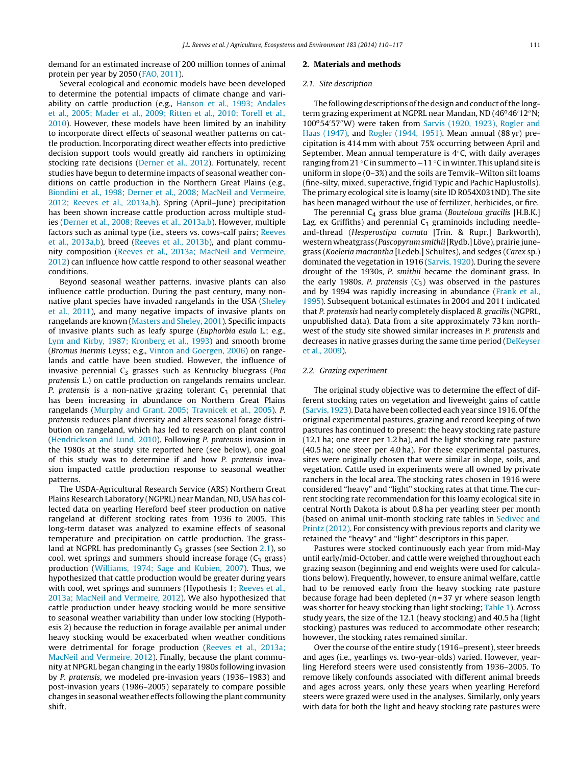demand for an estimated increase of 200 million tonnes of animal protein per year by 2050 ([FAO,](#page-7-0) [2011\).](#page-7-0)

Several ecological and economic models have been developed to determine the potential impacts of climate change and variability on cattle production (e.g., [Hanson](#page-7-0) et [al.,](#page-7-0) [1993;](#page-7-0) [Andales](#page-7-0) et [al.,](#page-7-0) [2005;](#page-7-0) [Mader](#page-7-0) et [al.,](#page-7-0) [2009;](#page-7-0) [Ritten](#page-7-0) et [al.,](#page-7-0) [2010;](#page-7-0) [Torell](#page-7-0) et [al.,](#page-7-0) [2010\).](#page-7-0) However, these models have been limited by an inability to incorporate direct effects of seasonal weather patterns on cattle production. Incorporating direct weather effects into predictive decision support tools would greatly aid ranchers in optimizing stocking rate decisions [\(Derner](#page-7-0) et [al.,](#page-7-0) [2012\).](#page-7-0) Fortunately, recent studies have begun to determine impacts of seasonal weather conditions on cattle production in the Northern Great Plains (e.g., [Biondini](#page-6-0) et [al.,](#page-6-0) [1998;](#page-6-0) [Derner](#page-6-0) et [al.,](#page-6-0) [2008;](#page-6-0) [MacNeil](#page-6-0) [and](#page-6-0) [Vermeire,](#page-6-0) [2012;](#page-6-0) [Reeves](#page-6-0) et [al.,](#page-6-0) [2013a,b\).](#page-6-0) Spring (April–June) precipitation has been shown increase cattle production across multiple studies ([Derner](#page-7-0) et [al.,](#page-7-0) [2008;](#page-7-0) [Reeves](#page-7-0) et [al.,](#page-7-0) [2013a,b\).](#page-7-0) However, multiple factors such as animal type (i.e., steers vs. cows-calf pairs; [Reeves](#page-7-0) et [al.,](#page-7-0) [2013a,b\),](#page-7-0) breed [\(Reeves](#page-7-0) et [al.,](#page-7-0) [2013b\),](#page-7-0) and plant community composition [\(Reeves](#page-7-0) et [al.,](#page-7-0) [2013a;](#page-7-0) [MacNeil](#page-7-0) [and](#page-7-0) [Vermeire,](#page-7-0) [2012\)](#page-7-0) can influence how cattle respond to other seasonal weather conditions.

Beyond seasonal weather patterns, invasive plants can also influence cattle production. During the past century, many nonnative plant species have invaded rangelands in the USA [\(Sheley](#page-7-0) et [al.,](#page-7-0) [2011\),](#page-7-0) and many negative impacts of invasive plants on rangelands are known [\(Masters](#page-7-0) [and](#page-7-0) [Sheley,](#page-7-0) [2001\).](#page-7-0) Specific impacts of invasive plants such as leafy spurge (Euphorbia esula L.; e.g., [Lym](#page-7-0) [and](#page-7-0) [Kirby,](#page-7-0) [1987;](#page-7-0) [Kronberg](#page-7-0) et [al.,](#page-7-0) [1993\)](#page-7-0) and smooth brome (Bromus inermis Leyss; e.g., [Vinton](#page-7-0) [and](#page-7-0) [Goergen,](#page-7-0) [2006\)](#page-7-0) on rangelands and cattle have been studied. However, the influence of invasive perennial  $C_3$  grasses such as Kentucky bluegrass (Poa pratensis L.) on cattle production on rangelands remains unclear. P. pratensis is a non-native grazing tolerant  $C_3$  perennial that has been increasing in abundance on Northern Great Plains rangelands [\(Murphy](#page-7-0) [and](#page-7-0) [Grant,](#page-7-0) [2005;](#page-7-0) [Travnicek](#page-7-0) et [al.,](#page-7-0) [2005\).](#page-7-0) P. pratensis reduces plant diversity and alters seasonal forage distribution on rangeland, which has led to research on plant control ([Hendrickson](#page-7-0) [and](#page-7-0) [Lund,](#page-7-0) [2010\).](#page-7-0) Following P. pratensis invasion in the 1980s at the study site reported here (see below), one goal of this study was to determine if and how P. pratensis invasion impacted cattle production response to seasonal weather patterns.

The USDA-Agricultural Research Service (ARS) Northern Great Plains Research Laboratory (NGPRL) near Mandan, ND, USA has collected data on yearling Hereford beef steer production on native rangeland at different stocking rates from 1936 to 2005. This long-term dataset was analyzed to examine effects of seasonal temperature and precipitation on cattle production. The grassland at NGPRL has predominantly  $C_3$  grasses (see Section 2.1), so cool, wet springs and summers should increase forage  $(C_3$  grass) production ([Williams,](#page-7-0) [1974;](#page-7-0) [Sage](#page-7-0) [and](#page-7-0) [Kubien,](#page-7-0) [2007\).](#page-7-0) Thus, we hypothesized that cattle production would be greater during years with cool, wet springs and summers (Hypothesis 1; [Reeves](#page-7-0) et [al.,](#page-7-0) [2013a;](#page-7-0) [MacNeil](#page-7-0) [and](#page-7-0) [Vermeire,](#page-7-0) [2012\).](#page-7-0) We also hypothesized that cattle production under heavy stocking would be more sensitive to seasonal weather variability than under low stocking (Hypothesis 2) because the reduction in forage available per animal under heavy stocking would be exacerbated when weather conditions were detrimental for forage production ([Reeves](#page-7-0) et [al.,](#page-7-0) [2013a;](#page-7-0) [MacNeil](#page-7-0) [and](#page-7-0) [Vermeire,](#page-7-0) [2012\).](#page-7-0) Finally, because the plant community at NPGRL began changing in the early 1980s following invasion by P. pratensis, we modeled pre-invasion years (1936–1983) and post-invasion years (1986–2005) separately to compare possible changes in seasonal weather effects following the plant community shift.

#### **2. Materials and methods**

## 2.1. Site description

The following descriptions of the design and conduct of the longterm grazing experiment at NGPRL near Mandan, ND (46°46'12"N; 100°54'57"W) were taken from [Sarvis](#page-7-0) [\(1920,](#page-7-0) [1923\),](#page-7-0) [Rogler](#page-7-0) [and](#page-7-0) [Haas](#page-7-0) [\(1947\),](#page-7-0) and [Rogler](#page-7-0) [\(1944,](#page-7-0) [1951\).](#page-7-0) Mean annual (88 yr) precipitation is 414 mm with about 75% occurring between April and September. Mean annual temperature is 4◦C, with daily averages ranging from21 ◦Cinsummer to−11 ◦Cin winter. Thisuplandsite is uniform in slope (0–3%) and the soils are Temvik–Wilton silt loams (fine-silty, mixed, superactive, frigid Typic and Pachic Haplustolls). The primary ecological site is loamy (site ID R054X031ND). The site has been managed without the use of fertilizer, herbicides, or fire.

The perennial  $C_4$  grass blue grama (Bouteloua gracilis [H.B.K.] Lag. ex Griffiths) and perennial  $C_3$  graminoids including needleand-thread (Hesperostipa comata [Trin. & Rupr.] Barkworth), western wheatgrass (Pascopyrum smithii [Rydb.] Löve), prairie junegrass (Koeleria macrantha [Ledeb.] Schultes), and sedges (Carex sp.) dominated the vegetation in 1916 ([Sarvis,](#page-7-0) [1920\).](#page-7-0) During the severe drought of the 1930s, P. smithii became the dominant grass. In the early 1980s, P. pratensis  $(C_3)$  was observed in the pastures and by 1994 was rapidly increasing in abundance [\(Frank](#page-7-0) et [al.,](#page-7-0) [1995\).](#page-7-0) Subsequent botanical estimates in 2004 and 2011 indicated that P. pratensis had nearly completely displaced B. gracilis (NGPRL, unpublished data). Data from a site approximately 73 km northwest of the study site showed similar increases in P. pratensis and decreases in native grasses during the same time period ([DeKeyser](#page-7-0) et [al.,](#page-7-0) [2009\).](#page-7-0)

#### 2.2. Grazing experiment

The original study objective was to determine the effect of different stocking rates on vegetation and liveweight gains of cattle [\(Sarvis,](#page-7-0) [1923\).](#page-7-0) Data have been collected each year since 1916. Of the original experimental pastures, grazing and record keeping of two pastures has continued to present: the heavy stocking rate pasture (12.1 ha; one steer per 1.2 ha), and the light stocking rate pasture (40.5 ha; one steer per 4.0 ha). For these experimental pastures, sites were originally chosen that were similar in slope, soils, and vegetation. Cattle used in experiments were all owned by private ranchers in the local area. The stocking rates chosen in 1916 were considered "heavy" and "light" stocking rates at that time. The current stocking rate recommendation for this loamy ecological site in central North Dakota is about 0.8 ha per yearling steer per month (based on animal unit-month stocking rate tables in [Sedivec](#page-7-0) [and](#page-7-0) [Printz](#page-7-0) [\(2012\).](#page-7-0) For consistency with previous reports and clarity we retained the "heavy" and "light" descriptors in this paper.

Pastures were stocked continuously each year from mid-May until early/mid-October, and cattle were weighed throughout each grazing season (beginning and end weights were used for calculations below). Frequently, however, to ensure animal welfare, cattle had to be removed early from the heavy stocking rate pasture because forage had been depleted ( $n = 37$  yr where season length was shorter for heavy stocking than light stocking; [Table](#page-2-0) 1). Across study years, the size of the 12.1 (heavy stocking) and 40.5 ha (light stocking) pastures was reduced to accommodate other research; however, the stocking rates remained similar.

Over the course of the entire study (1916–present), steer breeds and ages (i.e., yearlings vs. two-year-olds) varied. However, yearling Hereford steers were used consistently from 1936–2005. To remove likely confounds associated with different animal breeds and ages across years, only these years when yearling Hereford steers were grazed were used in the analyses. Similarly, only years with data for both the light and heavy stocking rate pastures were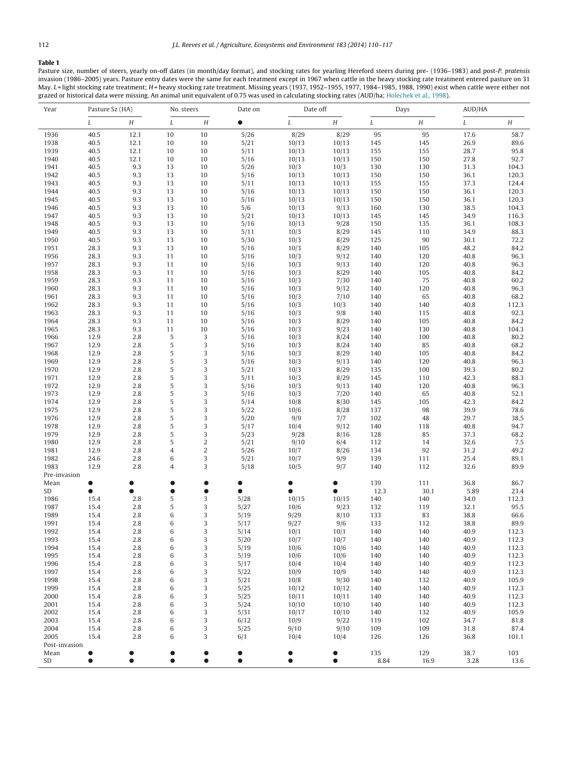## <span id="page-2-0"></span>**Table 1**

Pasture size, number of steers, yearly on-off dates (in month/day format), and stocking rates for yearling Hereford steers during pre- (1936–1983) and post-P. pratensis invasion (1986–2005) years. Pasture entry dates were the same for each treatment except in 1967 when cattle in the heavy stocking rate treatment entered pasture on 31 May. L=light stocking rate treatment; H=heavy stocking rate treatment. Missing years (1937, 1952–1955, 1977, 1984–1985, 1988, 1990) exist when cattle were either not grazed or historical data were missing. An animal unit equivalent of 0.75 was used in calculating stocking rates (AUD/ha; [Holechek](#page-7-0) et [al.,](#page-7-0) [1998\).](#page-7-0)

| Year          | Pasture Sz (HA) |             | No. steers |                     | Date on      | Date off       |                  | Days       |            | AUD/HA       |                |
|---------------|-----------------|-------------|------------|---------------------|--------------|----------------|------------------|------------|------------|--------------|----------------|
|               | L               | Н           | L          | H                   | $\bullet$    | L              | $\boldsymbol{H}$ | L          | H          | L            | Н              |
| 1936          | 40.5            | 12.1        | 10         | 10                  | 5/26         | 8/29           | 8/29             | 95         | 95         | 17.6         | 58.7           |
| 1938          | 40.5            | 12.1        | 10         | 10                  | 5/21         | 10/13          | 10/13            | 145        | 145        | 26.9         | 89.6           |
| 1939          | 40.5            | 12.1        | 10         | 10                  | 5/11         | 10/13          | 10/13            | 155        | 155        | 28.7         | 95.8           |
| 1940          | 40.5            | 12.1<br>9.3 | 10<br>13   | 10<br>10            | 5/16         | 10/13<br>10/3  | 10/13<br>10/3    | 150        | 150<br>130 | 27.8<br>31.3 | 92.7<br>104.3  |
| 1941<br>1942  | 40.5<br>40.5    | 9.3         | 13         | 10                  | 5/26<br>5/16 | 10/13          | 10/13            | 130<br>150 | 150        | 36.1         | 120.3          |
| 1943          | 40.5            | 9.3         | 13         | 10                  | 5/11         | 10/13          | 10/13            | 155        | 155        | 37.3         | 124.4          |
| 1944          | 40.5            | 9.3         | 13         | 10                  | 5/16         | 10/13          | 10/13            | 150        | 150        | 36.1         | 120.3          |
| 1945          | 40.5            | 9.3         | 13         | 10                  | 5/16         | 10/13          | 10/13            | 150        | 150        | 36.1         | 120.3          |
| 1946          | 40.5            | 9.3         | 13         | 10                  | 5/6          | 10/13          | 9/13             | 160        | 130        | 38.5         | 104.3          |
| 1947          | 40.5            | 9.3         | 13         | 10                  | 5/21         | 10/13          | 10/13            | 145        | 145        | 34.9         | 116.3          |
| 1948          | 40.5            | 9.3         | 13         | 10                  | 5/16         | 10/13          | 9/28             | 150        | 135        | 36.1         | 108.3          |
| 1949          | 40.5            | 9.3<br>9.3  | 13         | 10<br>10            | 5/11         | 10/3<br>10/3   | 8/29             | 145        | 110<br>90  | 34.9         | 88.3<br>72.2   |
| 1950<br>1951  | 40.5<br>28.3    | 9.3         | 13<br>13   | 10                  | 5/30<br>5/16 | 10/3           | 8/29<br>8/29     | 125<br>140 | 105        | 30.1<br>48.2 | 84.2           |
| 1956          | 28.3            | 9.3         | 11         | 10                  | 5/16         | 10/3           | 9/12             | 140        | 120        | 40.8         | 96.3           |
| 1957          | 28.3            | 9.3         | 11         | 10                  | 5/16         | 10/3           | 9/13             | 140        | 120        | 40.8         | 96.3           |
| 1958          | 28.3            | 9.3         | 11         | 10                  | 5/16         | 10/3           | 8/29             | 140        | 105        | 40.8         | 84.2           |
| 1959          | 28.3            | 9.3         | 11         | 10                  | 5/16         | 10/3           | 7/30             | 140        | 75         | 40.8         | 60.2           |
| 1960          | 28.3            | 9.3         | 11         | 10                  | 5/16         | 10/3           | 9/12             | 140        | 120        | 40.8         | 96.3           |
| 1961          | 28.3            | 9.3         | 11         | 10                  | 5/16         | 10/3           | 7/10             | 140        | 65         | 40.8         | 68.2           |
| 1962<br>1963  | 28.3<br>28.3    | 9.3<br>9.3  | 11         | 10                  | 5/16         | 10/3<br>10/3   | 10/3<br>9/8      | 140        | 140        | 40.8         | 112.3<br>92.3  |
| 1964          | 28.3            | 9.3         | 11<br>11   | 10<br>10            | 5/16<br>5/16 | 10/3           | 8/29             | 140<br>140 | 115<br>105 | 40.8<br>40.8 | 84.2           |
| 1965          | 28.3            | 9.3         | 11         | 10                  | 5/16         | 10/3           | 9/23             | 140        | 130        | 40.8         | 104.3          |
| 1966          | 12.9            | 2.8         | 5          | 3                   | 5/16         | 10/3           | 8/24             | 140        | 100        | 40.8         | 80.2           |
| 1967          | 12.9            | 2.8         | 5          | 3                   | 5/16         | 10/3           | 8/24             | 140        | 85         | 40.8         | 68.2           |
| 1968          | 12.9            | 2.8         | 5          | 3                   | 5/16         | 10/3           | 8/29             | 140        | 105        | 40.8         | 84.2           |
| 1969          | 12.9            | 2.8         | 5          | 3                   | 5/16         | 10/3           | 9/13             | 140        | 120        | 40.8         | 96.3           |
| 1970          | 12.9            | 2.8         | 5          | 3                   | 5/21         | 10/3           | 8/29             | 135        | 100        | 39.3         | 80.2           |
| 1971          | 12.9            | 2.8         | 5          | 3                   | 5/11         | 10/3           | 8/29             | 145        | 110        | 42.3         | 88.3           |
| 1972<br>1973  | 12.9<br>12.9    | 2.8<br>2.8  | 5<br>5     | 3<br>3              | 5/16<br>5/16 | 10/3<br>10/3   | 9/13<br>7/20     | 140<br>140 | 120<br>65  | 40.8<br>40.8 | 96.3<br>52.1   |
| 1974          | 12.9            | 2.8         | 5          | 3                   | 5/14         | 10/8           | 8/30             | 145        | 105        | 42.3         | 84.2           |
| 1975          | 12.9            | 2.8         | 5          | 3                   | 5/22         | 10/6           | 8/28             | 137        | 98         | 39.9         | 78.6           |
| 1976          | 12.9            | 2.8         | 5          | 3                   | 5/20         | 9/9            | 7/7              | 102        | 48         | 29.7         | 38.5           |
| 1978          | 12.9            | 2.8         | 5          | 3                   | 5/17         | 10/4           | 9/12             | 140        | 118        | 40.8         | 94.7           |
| 1979          | 12.9            | 2.8         | 5          | 3                   | 5/23         | 9/28           | 8/16             | 128        | 85         | 37.3         | 68.2           |
| 1980          | 12.9            | 2.8         | 5          | $\overline{c}$      | 5/21         | 9/10           | 6/4              | 112        | 14         | 32.6         | 7.5            |
| 1981<br>1982  | 12.9            | 2.8<br>2.8  | 4          | $\overline{c}$<br>3 | 5/26         | 10/7           | 8/26             | 134        | 92         | 31.2         | 49.2           |
| 1983          | 24.6<br>12.9    | 2.8         | 6<br>4     | 3                   | 5/21<br>5/18 | 10/7<br>10/5   | 9/9<br>9/7       | 139<br>140 | 111<br>112 | 25.4<br>32.6 | 89.1<br>89.9   |
| Pre-invasion  |                 |             |            |                     |              |                |                  |            |            |              |                |
| Mean          | $\bullet$       |             | $\bullet$  | $\bullet$           |              |                |                  | 139        | 111        | 36.8         | 86.7           |
| SD            | $\bullet$       |             | $\bullet$  | $\bullet$           |              | $\bullet$      | ●                | 12.3       | 30.1       | 5.89         | 23.4           |
| 1986          | 15.4            | 2.8         | 5          | 3                   | 5/28         | 10/15          | 10/15            | 140        | 140        | 34.0         | 112.3          |
| 1987          | 15.4            | 2.8         | 5          | 3                   | 5/27         | 10/6           | 9/23             | 132        | 119        | 32.1         | 95.5           |
| 1989<br>1991  | 15.4            | 2.8<br>2.8  | 6<br>6     | 3<br>3              | 5/19<br>5/17 | 9/29<br>9/27   | 8/10             | 133<br>133 | 83<br>112  | 38.8<br>38.8 | 66.6<br>89.9   |
| 1992          | 15.4<br>15.4    | 2.8         | 6          | 3                   | 5/14         | 10/1           | 9/6<br>10/1      | 140        | 140        | 40.9         | 112.3          |
| 1993          | 15.4            | 2.8         | 6          | 3                   | 5/20         | 10/7           | 10/7             | 140        | 140        | 40.9         | 112.3          |
| 1994          | 15.4            | 2.8         | 6          | 3                   | 5/19         | 10/6           | 10/6             | 140        | 140        | 40.9         | 112.3          |
| 1995          | 15.4            | 2.8         | 6          | 3                   | 5/19         | 10/6           | 10/6             | 140        | 140        | 40.9         | 112.3          |
| 1996          | 15.4            | 2.8         | 6          | 3                   | 5/17         | 10/4           | 10/4             | 140        | 140        | 40.9         | 112.3          |
| 1997          | 15.4            | 2.8         | 6          | 3                   | 5/22         | 10/9           | 10/9             | 140        | 140        | 40.9         | 112.3          |
| 1998          | 15.4            | 2.8         | 6          | 3                   | 5/21         | 10/8           | 9/30             | 140        | 132        | 40.9         | 105.9          |
| 1999          | 15.4            | 2.8         | 6          | 3                   | 5/25         | 10/12          | 10/12            | 140        | 140        | 40.9         | 112.3          |
| 2000<br>2001  | 15.4<br>15.4    | 2.8<br>2.8  | 6<br>6     | 3<br>3              | 5/25<br>5/24 | 10/11<br>10/10 | 10/11<br>10/10   | 140<br>140 | 140<br>140 | 40.9<br>40.9 | 112.3<br>112.3 |
| 2002          | 15.4            | 2.8         | 6          | 3                   | 5/31         | 10/17          | 10/10            | 140        | 132        | 40.9         | 105.9          |
| 2003          | 15.4            | 2.8         | 6          | 3                   | 6/12         | 10/9           | 9/22             | 119        | 102        | 34.7         | 81.8           |
| 2004          | 15.4            | 2.8         | 6          | 3                   | 5/25         | 9/10           | 9/10             | 109        | 109        | 31.8         | 87.4           |
| 2005          | 15.4            | 2.8         | 6          | 3                   | 6/1          | 10/4           | 10/4             | 126        | 126        | 36.8         | 101.1          |
| Post-invasion |                 |             |            |                     |              |                |                  |            |            |              |                |
| Mean          | $\bullet$       |             | $\bullet$  | $\bullet$           |              | $\bullet$      | $\bullet$        | 135        | 129        | 38.7         | 103            |
| SD            | $\bullet$       | $\bullet$   | $\bullet$  | $\bullet$           | $\bullet$    | $\bullet$      | $\bullet$        | 8.84       | 16.9       | 3.28         | 13.6           |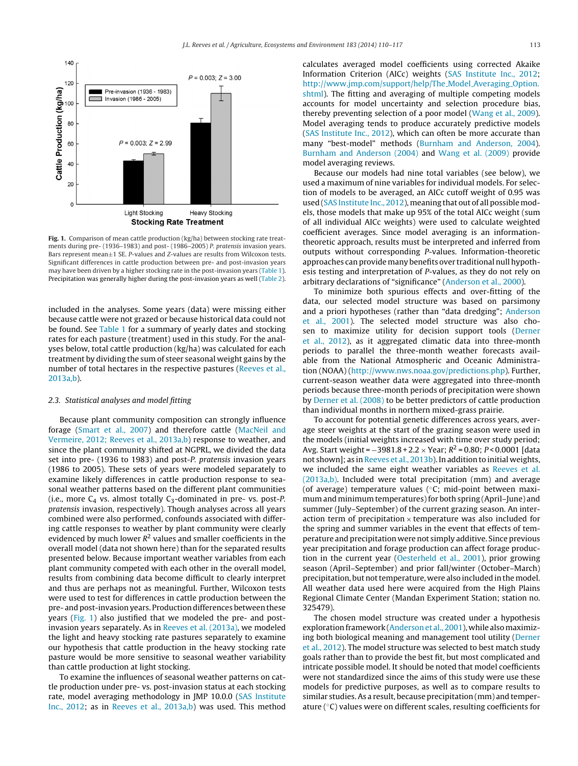<span id="page-3-0"></span>

**Fig. 1.** Comparison of mean cattle production (kg/ha) between stocking rate treatments during pre- (1936–1983) and post- (1986–2005) P. pratensis invasion years. Bars represent mean±1 SE. P-values and Z-values are results from Wilcoxon tests. Significant differences in cattle production between pre- and post-invasion years may have been driven by a higher stocking rate in the post-invasion years ([Table](#page-2-0) 1). Precipitation was generally higher during the post-invasion years as well [\(Table](#page-5-0) 2).

included in the analyses. Some years (data) were missing either because cattle were not grazed or because historical data could not be found. See [Table](#page-2-0) 1 for a summary of yearly dates and stocking rates for each pasture (treatment) used in this study. For the analyses below, total cattle production (kg/ha) was calculated for each treatment by dividing the sum of steer seasonal weight gains by the number of total hectares in the respective pastures ([Reeves](#page-7-0) et [al.,](#page-7-0) [2013a,b\).](#page-7-0)

### 2.3. Statistical analyses and model fitting

Because plant community composition can strongly influence forage [\(Smart](#page-7-0) et [al.,](#page-7-0) [2007\)](#page-7-0) and therefore cattle ([MacNeil](#page-7-0) [and](#page-7-0) [Vermeire,](#page-7-0) [2012;](#page-7-0) [Reeves](#page-7-0) et [al.,](#page-7-0) [2013a,b\)](#page-7-0) response to weather, and since the plant community shifted at NGPRL, we divided the data set into pre- (1936 to 1983) and post-P. pratensis invasion years (1986 to 2005). These sets of years were modeled separately to examine likely differences in cattle production response to seasonal weather patterns based on the different plant communities (i.e., more  $C_4$  vs. almost totally  $C_3$ -dominated in pre- vs. post-P. pratensis invasion, respectively). Though analyses across all years combined were also performed, confounds associated with differing cattle responses to weather by plant community were clearly evidenced by much lower  $R^2$  values and smaller coefficients in the overall model (data not shown here) than for the separated results presented below. Because important weather variables from each plant community competed with each other in the overall model, results from combining data become difficult to clearly interpret and thus are perhaps not as meaningful. Further, Wilcoxon tests were used to test for differences in cattle production between the pre- and post-invasion years. Production differences between these years (Fig. 1) also justified that we modeled the pre- and postinvasion years separately. As in [Reeves](#page-7-0) et [al.](#page-7-0) [\(2013a\),](#page-7-0) we modeled the light and heavy stocking rate pastures separately to examine our hypothesis that cattle production in the heavy stocking rate pasture would be more sensitive to seasonal weather variability than cattle production at light stocking.

To examine the influences of seasonal weather patterns on cattle production under pre- vs. post-invasion status at each stocking rate, model averaging methodology in JMP 10.0.0 [\(SAS](#page-7-0) [Institute](#page-7-0) [Inc.,](#page-7-0) [2012;](#page-7-0) as in [Reeves](#page-7-0) et [al.,](#page-7-0) [2013a,b\)](#page-7-0) was used. This method

calculates averaged model coefficients using corrected Akaike Information Criterion (AICc) weights [\(SAS](#page-7-0) [Institute](#page-7-0) [Inc.,](#page-7-0) [2012;](#page-7-0) [http://www.jmp.com/support/help/The](http://www.jmp.com/support/help/The_Model_Averaging_Option.shtml) Model Averaging Option. [shtml](http://www.jmp.com/support/help/The_Model_Averaging_Option.shtml)). The fitting and averaging of multiple competing models accounts for model uncertainty and selection procedure bias, thereby preventing selection of a poor model ([Wang](#page-7-0) et [al.,](#page-7-0) [2009\).](#page-7-0) Model averaging tends to produce accurately predictive models [\(SAS](#page-7-0) [Institute](#page-7-0) [Inc.,](#page-7-0) [2012\),](#page-7-0) which can often be more accurate than many "best-model" methods [\(Burnham](#page-6-0) [and](#page-6-0) [Anderson,](#page-6-0) [2004\).](#page-6-0) [Burnham](#page-6-0) [and](#page-6-0) [Anderson](#page-6-0) [\(2004\)](#page-6-0) and [Wang](#page-7-0) et [al.](#page-7-0) [\(2009\)](#page-7-0) provide model averaging reviews.

Because our models had nine total variables (see below), we used a maximum of nine variables for individual models. For selection of models to be averaged, an AICc cutoff weight of 0.95 was used ([SAS](#page-7-0) [Institute](#page-7-0) [Inc.,](#page-7-0) [2012\),](#page-7-0) meaning that out of all possible models, those models that make up 95% of the total AICc weight (sum of all individual AICc weights) were used to calculate weighted coefficient averages. Since model averaging is an informationtheoretic approach, results must be interpreted and inferred from outputs without corresponding P-values. Information-theoretic approaches can provide many benefits over traditional null hypothesis testing and interpretation of P-values, as they do not rely on arbitrary declarations of "significance" ([Anderson](#page-6-0) et [al.,](#page-6-0) [2000\).](#page-6-0)

To minimize both spurious effects and over-fitting of the data, our selected model structure was based on parsimony and a priori hypotheses (rather than "data dredging"; [Anderson](#page-6-0) et [al.,](#page-6-0) [2001\).](#page-6-0) The selected model structure was also chosen to maximize utility for decision support tools [\(Derner](#page-7-0) et [al.,](#page-7-0) [2012\),](#page-7-0) as it aggregated climatic data into three-month periods to parallel the three-month weather forecasts available from the National Atmospheric and Oceanic Administration (NOAA) (<http://www.nws.noaa.gov/predictions.php>). Further, current-season weather data were aggregated into three-month periods because three-month periods of precipitation were shown by [Derner](#page-7-0) et [al.](#page-7-0) [\(2008\)](#page-7-0) to be better predictors of cattle production than individual months in northern mixed-grass prairie.

To account for potential genetic differences across years, average steer weights at the start of the grazing season were used in the models (initial weights increased with time over study period; Avg. Start weight =  $-3981.8 + 2.2 \times$  Year;  $R^2$  = 0.80; P < 0.0001 [data not shown]; as in [Reeves](#page-7-0) et [al.,](#page-7-0) [2013b\).](#page-7-0) In addition to initial weights, we included the same eight weather variables as [Reeves](#page-7-0) et [al.](#page-7-0)  $(2013a,b)$ . Included were total precipitation (mm) and average (of average) temperature values (◦C; mid-point between maximum and minimum temperatures) for both spring (April–June) and summer (July–September) of the current grazing season. An interaction term of precipitation  $\times$  temperature was also included for the spring and summer variables in the event that effects of temperature and precipitation were not simply additive. Since previous year precipitation and forage production can affect forage production in the current year [\(Oesterheld](#page-7-0) et [al.,](#page-7-0) [2001\),](#page-7-0) prior growing season (April–September) and prior fall/winter (October–March) precipitation, but not temperature, were also included in the model. All weather data used here were acquired from the High Plains Regional Climate Center (Mandan Experiment Station; station no. 325479).

The chosen model structure was created under a hypothesis exploration framework (Anderson et [al.,](#page-6-0) [2001\),](#page-6-0) while also maximizing both biological meaning and management tool utility [\(Derner](#page-7-0) et [al.,](#page-7-0) [2012\).](#page-7-0) The model structure was selected to best match study goals rather than to provide the best fit, but most complicated and intricate possible model. It should be noted that model coefficients were not standardized since the aims of this study were use these models for predictive purposes, as well as to compare results to similar studies.As a result, because precipitation (mm) and temperature (◦C) values were on different scales, resulting coefficients for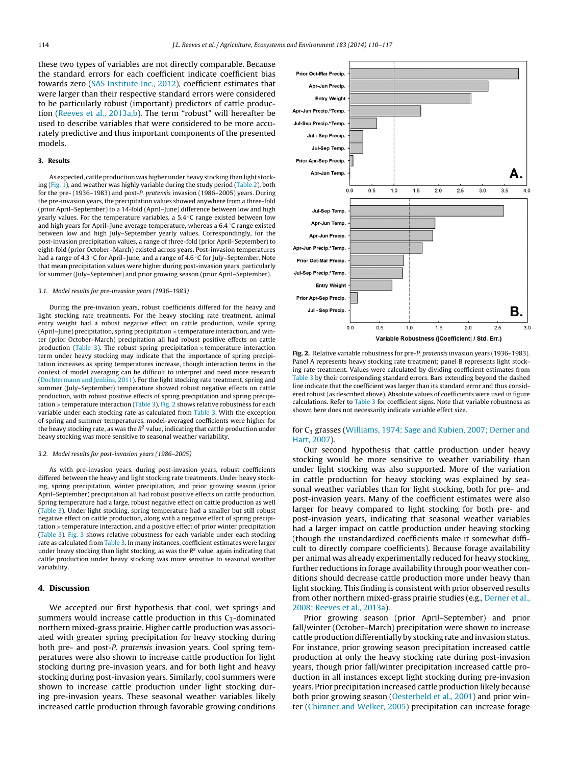these two types of variables are not directly comparable. Because the standard errors for each coefficient indicate coefficient bias towards zero [\(SAS](#page-7-0) [Institute](#page-7-0) [Inc.,](#page-7-0) [2012\),](#page-7-0) coefficient estimates that were larger than their respective standard errors were considered to be particularly robust (important) predictors of cattle production [\(Reeves](#page-7-0) et [al.,](#page-7-0) [2013a,b\).](#page-7-0) The term "robust" will hereafter be used to describe variables that were considered to be more accurately predictive and thus important components of the presented models.

### **3. Results**

As expected, cattle production was higher under heavy stocking than light stocking [\(Fig.](#page-3-0) 1), and weather was highly variable during the study period [\(Table](#page-5-0) 2), both for the pre- (1936–1983) and post-P. pratensis invasion (1986–2005) years. During the pre-invasion years, the precipitation values showed anywhere from a three-fold (prior April–September) to a 14-fold (April–June) difference between low and high yearly values. For the temperature variables, a 5.4 ℃ range existed between low and high years for April–June average temperature, whereas a 6.4 ◦C range existed between low and high July–September yearly values. Correspondingly, for the post-invasion precipitation values, a range of three-fold (prior April–September) to eight-fold (prior October–March) existed across years. Post-invasion temperatures had a range of 4.3 ◦C for April–June, and a range of 4.6 ◦C for July–September. Note that mean precipitation values were higher during post-invasion years, particularly for summer (July–September) and prior growing season (prior April–September).

#### 3.1. Model results for pre-invasion years (1936–1983)

During the pre-invasion years, robust coefficients differed for the heavy and light stocking rate treatments. For the heavy stocking rate treatment, animal entry weight had a robust negative effect on cattle production, while spring (April–June) precipitation, spring precipitation  $\times$  temperature interaction, and winter (prior October–March) precipitation all had robust positive effects on cattle production [\(Table](#page-5-0) 3). The robust spring precipitation  $\times$  temperature interaction term under heavy stocking may indicate that the importance of spring precipitation increases as spring temperatures increase, though interaction terms in the context of model averaging can be difficult to interpret and need more research [\(Dochtermann](#page-7-0) [and](#page-7-0) [Jenkins,](#page-7-0) [2011\).](#page-7-0) For the light stocking rate treatment, spring and summer (July–September) temperature showed robust negative effects on cattle production, with robust positive effects of spring precipitation and spring precipitation  $\times$  temperature interaction ([Table](#page-5-0) 3). Fig. 2 shows relative robustness for each variable under each stocking rate as calculated from [Table](#page-5-0) 3. With the exception of spring and summer temperatures, model-averaged coefficients were higher for the heavy stocking rate, as was the  $R^2$  value, indicating that cattle production under heavy stocking was more sensitive to seasonal weather variability.

#### 3.2. Model results for post-invasion years (1986–2005)

As with pre-invasion years, during post-invasion years, robust coefficients differed between the heavy and light stocking rate treatments. Under heavy stocking, spring precipitation, winter precipitation, and prior growing season (prior April–September) precipitation all had robust positive effects on cattle production. Spring temperature had a large, robust negative effect on cattle production as well [\(Table](#page-5-0) 3). Under light stocking, spring temperature had a smaller but still robust negative effect on cattle production, along with a negative effect of spring precipi $t$ ation  $\times$  temperature interaction, and a positive effect of prior winter precipitation [\(Table](#page-5-0) 3). [Fig.](#page-6-0) 3 shows relative robustness for each variable under each stocking rate as calculated from [Table](#page-5-0) 3. In many instances, coefficient estimates were larger under heavy stocking than light stocking, as was the  $R^2$  value, again indicating that cattle production under heavy stocking was more sensitive to seasonal weather variability.

#### **4. Discussion**

We accepted our first hypothesis that cool, wet springs and summers would increase cattle production in this  $C_3$ -dominated northern mixed-grass prairie. Higher cattle production was associated with greater spring precipitation for heavy stocking during both pre- and post-P. pratensis invasion years. Cool spring temperatures were also shown to increase cattle production for light stocking during pre-invasion years, and for both light and heavy stocking during post-invasion years. Similarly, cool summers were shown to increase cattle production under light stocking during pre-invasion years. These seasonal weather variables likely increased cattle production through favorable growing conditions



**Fig. 2.** Relative variable robustness for pre-P. pratensis invasion years (1936–1983). Panel A represents heavy stocking rate treatment; panel B represents light stocking rate treatment. Values were calculated by dividing coefficient estimates from [Table](#page-5-0) 3 by their corresponding standard errors. Bars extending beyond the dashed line indicate that the coefficient was larger than its standard error and thus considered robust (as described above). Absolute values of coefficients were used in figure calculations. Refer to [Table](#page-5-0) 3 for coefficient signs. Note that variable robustness as shown here does not necessarily indicate variable effect size.

#### for C3 grasses ([Williams,](#page-7-0) [1974;](#page-7-0) [Sage](#page-7-0) [and](#page-7-0) [Kubien,](#page-7-0) [2007;](#page-7-0) [Derner](#page-7-0) [and](#page-7-0) [Hart,](#page-7-0) [2007\).](#page-7-0)

Our second hypothesis that cattle production under heavy stocking would be more sensitive to weather variability than under light stocking was also supported. More of the variation in cattle production for heavy stocking was explained by seasonal weather variables than for light stocking, both for pre- and post-invasion years. Many of the coefficient estimates were also larger for heavy compared to light stocking for both pre- and post-invasion years, indicating that seasonal weather variables had a larger impact on cattle production under heaving stocking (though the unstandardized coefficients make it somewhat difficult to directly compare coefficients). Because forage availability per animal was already experimentally reduced for heavy stocking, further reductions in forage availability through poor weather conditions should decrease cattle production more under heavy than light stocking. This finding is consistent with prior observed results from other northern mixed-grass prairie studies (e.g., [Derner](#page-7-0) et [al.,](#page-7-0) [2008;](#page-7-0) [Reeves](#page-7-0) et [al.,](#page-7-0) [2013a\).](#page-7-0)

Prior growing season (prior April–September) and prior fall/winter (October–March) precipitation were shown to increase cattle production differentially by stocking rate and invasion status. For instance, prior growing season precipitation increased cattle production at only the heavy stocking rate during post-invasion years, though prior fall/winter precipitation increased cattle production in all instances except light stocking during pre-invasion years. Prior precipitation increased cattle production likely because both prior growing season [\(Oesterheld](#page-7-0) et [al.,](#page-7-0) [2001\)](#page-7-0) and prior winter ([Chimner](#page-6-0) [and](#page-6-0) [Welker,](#page-6-0) [2005\)](#page-6-0) precipitation can increase forage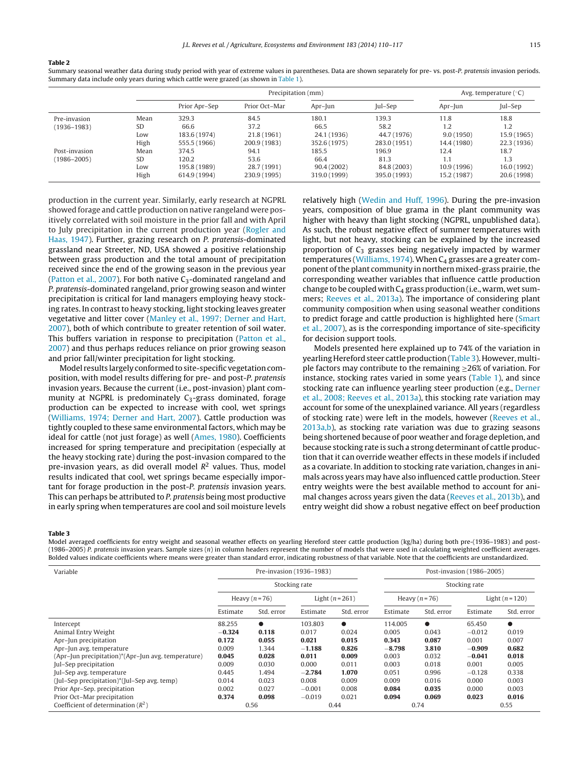#### <span id="page-5-0"></span>**Table 2**

Summary seasonal weather data during study period with year of extreme values in parentheses. Data are shown separately for pre- vs. post-P. pratensis invasion periods. Summary data include only years during which cattle were grazed (as shown in [Table](#page-2-0) 1).

|               |           |               | Avg. temperature $(°C)$ |              |              |             |             |
|---------------|-----------|---------------|-------------------------|--------------|--------------|-------------|-------------|
|               |           | Prior Apr–Sep | Prior Oct-Mar           | $Apr-Iun$    | Jul-Sep      | Apr-Jun     | Jul-Sep     |
| Pre-invasion  | Mean      | 329.3         | 84.5                    | 180.1        | 139.3        | 11.8        | 18.8        |
| (1936–1983)   | <b>SD</b> | 66.6          | 37.2                    | 66.5         | 58.2         | 1.2         | 1.2         |
|               | Low       | 183.6 (1974)  | 21.8 (1961)             | 24.1 (1936)  | 44.7 (1976)  | 9.0(1950)   | 15.9 (1965) |
|               | High      | 555.5 (1966)  | 200.9 (1983)            | 352.6 (1975) | 283.0 (1951) | 14.4 (1980) | 22.3 (1936) |
| Post-invasion | Mean      | 374.5         | 94.1                    | 185.5        | 196.9        | 12.4        | 18.7        |
| (1986–2005)   | <b>SD</b> | 120.2         | 53.6                    | 66.4         | 81.3         | 1.1         | 1.3         |
|               | Low       | 195.8 (1989)  | 28.7 (1991)             | 90.4 (2002)  | 84.8 (2003)  | 10.9 (1996) | 16.0 (1992) |
|               | High      | 614.9 (1994)  | 230.9 (1995)            | 319.0 (1999) | 395.0 (1993) | 15.2 (1987) | 20.6 (1998) |

production in the current year. Similarly, early research at NGPRL showed forage and cattle production on native rangeland were positively correlated with soil moisture in the prior fall and with April to July precipitation in the current production year [\(Rogler](#page-7-0) [and](#page-7-0) [Haas,](#page-7-0) [1947\).](#page-7-0) Further, grazing research on P. pratensis-dominated grassland near Streeter, ND, USA showed a positive relationship between grass production and the total amount of precipitation received since the end of the growing season in the previous year ([Patton](#page-7-0) et [al.,](#page-7-0) [2007\).](#page-7-0) For both native  $C_3$ -dominated rangeland and P. pratensis-dominated rangeland, prior growing season and winter precipitation is critical for land managers employing heavy stocking rates. In contrast to heavy stocking, light stocking leaves greater vegetative and litter cover [\(Manley](#page-7-0) et [al.,](#page-7-0) [1997;](#page-7-0) [Derner](#page-7-0) [and](#page-7-0) [Hart,](#page-7-0) [2007\),](#page-7-0) both of which contribute to greater retention of soil water. This buffers variation in response to precipitation ([Patton](#page-7-0) et [al.,](#page-7-0) [2007\)](#page-7-0) and thus perhaps reduces reliance on prior growing season and prior fall/winter precipitation for light stocking.

Model results largely conformed to site-specific vegetation composition, with model results differing for pre- and post-P. pratensis invasion years. Because the current (i.e., post-invasion) plant community at NGPRL is predominately  $C_3$ -grass dominated, forage production can be expected to increase with cool, wet springs ([Williams,](#page-7-0) [1974;](#page-7-0) [Derner](#page-7-0) [and](#page-7-0) [Hart,](#page-7-0) [2007\).](#page-7-0) Cattle production was tightly coupled to these same environmental factors, which may be ideal for cattle (not just forage) as well ([Ames,](#page-6-0) [1980\).](#page-6-0) Coefficients increased for spring temperature and precipitation (especially at the heavy stocking rate) during the post-invasion compared to the pre-invasion years, as did overall model  $R^2$  values. Thus, model results indicated that cool, wet springs became especially important for forage production in the post-P. pratensis invasion years. This can perhaps be attributed to P. pratensis being most productive in early spring when temperatures are cool and soil moisture levels relatively high ([Wedin](#page-7-0) [and](#page-7-0) [Huff,](#page-7-0) [1996\).](#page-7-0) During the pre-invasion years, composition of blue grama in the plant community was higher with heavy than light stocking (NGPRL, unpublished data). As such, the robust negative effect of summer temperatures with light, but not heavy, stocking can be explained by the increased proportion of  $C_3$  grasses being negatively impacted by warmer temperatures [\(Williams,](#page-7-0) [1974\).](#page-7-0) When  $C_4$  grasses are a greater component of the plant community in northern mixed-grass prairie, the corresponding weather variables that influence cattle production change to be coupled with  $C_4$  grass production (i.e., warm, wet summers; [Reeves](#page-7-0) et [al.,](#page-7-0) [2013a\).](#page-7-0) The importance of considering plant community composition when using seasonal weather conditions to predict forage and cattle production is highlighted here ([Smart](#page-7-0) et [al.,](#page-7-0) [2007\),](#page-7-0) as is the corresponding importance of site-specificity for decision support tools.

Models presented here explained up to 74% of the variation in yearling Hereford steer cattle production (Table 3). However, multiple factors may contribute to the remaining  $\geq$ 26% of variation. For instance, stocking rates varied in some years [\(Table](#page-2-0) 1), and since stocking rate can influence yearling steer production (e.g., [Derner](#page-7-0) et [al.,](#page-7-0) [2008;](#page-7-0) [Reeves](#page-7-0) et [al.,](#page-7-0) [2013a\),](#page-7-0) this stocking rate variation may account for some of the unexplained variance. All years (regardless of stocking rate) were left in the models, however ([Reeves](#page-7-0) et [al.,](#page-7-0) [2013a,b\),](#page-7-0) as stocking rate variation was due to grazing seasons being shortened because of poor weather and forage depletion, and because stocking rate is such a strong determinant of cattle production that it can override weather effects in these models if included as a covariate. In addition to stocking rate variation, changes in animals across years may have also influenced cattle production. Steer entry weights were the best available method to account for animal changes across years given the data [\(Reeves](#page-7-0) et [al.,](#page-7-0) [2013b\),](#page-7-0) and entry weight did show a robust negative effect on beef production

#### **Table 3**

Model averaged coefficients for entry weight and seasonal weather effects on yearling Hereford steer cattle production (kg/ha) during both pre-(1936–1983) and post-  $(1986-2005)$  P. pratensis invasion years. Sample sizes  $(n)$  in column headers represent the number of models that were used in calculating weighted coefficient averages. Bolded values indicate coefficients where means were greater than standard error, indicating robustness of that variable. Note that the coefficients are unstandardized.

| Variable                                           |                |            | Pre-invasion (1936-1983) |            | Post-invasion (1986-2005) |            |                 |            |  |
|----------------------------------------------------|----------------|------------|--------------------------|------------|---------------------------|------------|-----------------|------------|--|
|                                                    | Stocking rate  |            |                          |            | Stocking rate             |            |                 |            |  |
|                                                    | Heavy $(n=76)$ |            | Light $(n=261)$          |            | Heavy $(n=76)$            |            | Light $(n=120)$ |            |  |
|                                                    | Estimate       | Std. error | Estimate                 | Std. error | Estimate                  | Std. error | Estimate        | Std. error |  |
| Intercept                                          | 88.255         | ●          | 103.803                  | $\bullet$  | 114.005                   | $\bullet$  | 65.450          | $\bullet$  |  |
| Animal Entry Weight                                | $-0.324$       | 0.118      | 0.017                    | 0.024      | 0.005                     | 0.043      | $-0.012$        | 0.019      |  |
| Apr-Jun precipitation                              | 0.172          | 0.055      | 0.021                    | 0.015      | 0.343                     | 0.087      | 0.001           | 0.007      |  |
| Apr-Jun avg. temperature                           | 0.009          | 1.344      | $-1.188$                 | 0.826      | $-8.798$                  | 3.810      | $-0.909$        | 0.682      |  |
| (Apr-Jun precipitation)*(Apr-Jun avg. temperature) | 0.045          | 0.028      | 0.011                    | 0.009      | 0.003                     | 0.032      | $-0.041$        | 0.018      |  |
| Jul-Sep precipitation                              | 0.009          | 0.030      | 0.000                    | 0.011      | 0.003                     | 0.018      | 0.001           | 0.005      |  |
| Jul-Sep avg. temperature                           | 0.445          | 1.494      | $-2.784$                 | 1.070      | 0.051                     | 0.996      | $-0.128$        | 0.338      |  |
| (Jul–Sep precipitation)*(Jul–Sep avg. temp)        | 0.014          | 0.023      | 0.008                    | 0.009      | 0.009                     | 0.016      | 0.000           | 0.003      |  |
| Prior Apr-Sep. precipitation                       | 0.002          | 0.027      | $-0.001$                 | 0.008      | 0.084                     | 0.035      | 0.000           | 0.003      |  |
| Prior Oct-Mar precipitation                        | 0.374          | 0.098      | $-0.019$                 | 0.021      | 0.094                     | 0.069      | 0.023           | 0.016      |  |
| Coefficient of determination $(R^2)$               | 0.56           |            | 0.44                     |            | 0.74                      |            | 0.55            |            |  |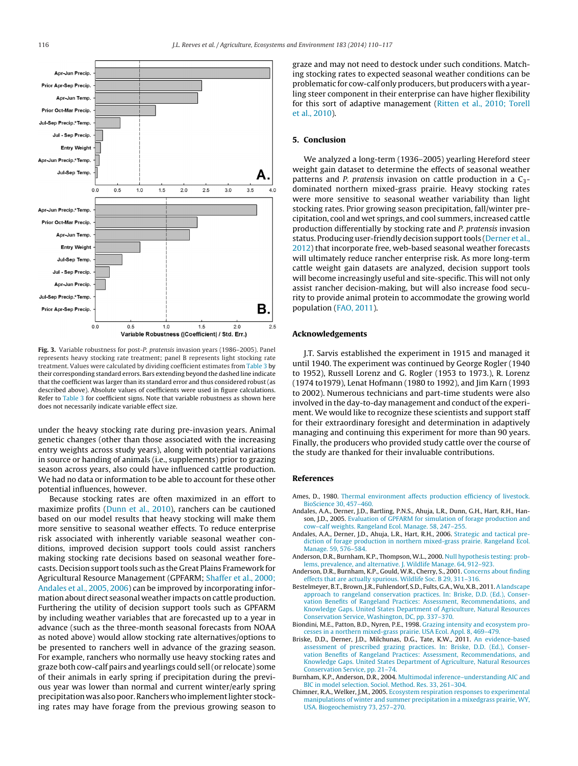<span id="page-6-0"></span>

**Fig. 3.** Variable robustness for post-P. pratensis invasion years (1986–2005). Panel represents heavy stocking rate treatment; panel B represents light stocking rate treatment. Values were calculated by dividing coefficient estimates from [Table](#page-5-0) 3 by their corresponding standard errors. Bars extending beyond the dashed line indicate that the coefficient was larger than its standard error and thus considered robust (as described above). Absolute values of coefficients were used in figure calculations. Refer to [Table](#page-5-0) 3 for coefficient signs. Note that variable robustness as shown here does not necessarily indicate variable effect size.

under the heavy stocking rate during pre-invasion years. Animal genetic changes (other than those associated with the increasing entry weights across study years), along with potential variations in source or handing of animals (i.e., supplements) prior to grazing season across years, also could have influenced cattle production. We had no data or information to be able to account for these other potential influences, however.

Because stocking rates are often maximized in an effort to maximize profits [\(Dunn](#page-7-0) et [al.,](#page-7-0) [2010\),](#page-7-0) ranchers can be cautioned based on our model results that heavy stocking will make them more sensitive to seasonal weather effects. To reduce enterprise risk associated with inherently variable seasonal weather conditions, improved decision support tools could assist ranchers making stocking rate decisions based on seasonal weather forecasts. Decision support tools such as the Great Plains Framework for Agricultural Resource Management (GPFARM; [Shaffer](#page-7-0) et [al.,](#page-7-0) [2000;](#page-7-0) [Andales](#page-7-0) et [al.,](#page-7-0) [2005,](#page-7-0) [2006\)](#page-7-0) can be improved by incorporating information about direct seasonal weather impacts on cattle production. Furthering the utility of decision support tools such as GPFARM by including weather variables that are forecasted up to a year in advance (such as the three-month seasonal forecasts from NOAA as noted above) would allow stocking rate alternatives/options to be presented to ranchers well in advance of the grazing season. For example, ranchers who normally use heavy stocking rates and graze both cow-calf pairs and yearlings could sell(or relocate) some of their animals in early spring if precipitation during the previous year was lower than normal and current winter/early spring precipitation was also poor. Ranchers who implement lighter stocking rates may have forage from the previous growing season to

graze and may not need to destock under such conditions. Matching stocking rates to expected seasonal weather conditions can be problematic for cow-calf only producers, but producers with a yearling steer component in their enterprise can have higher flexibility for this sort of adaptive management ([Ritten](#page-7-0) et [al.,](#page-7-0) [2010;](#page-7-0) [Torell](#page-7-0) et [al.,](#page-7-0) [2010\).](#page-7-0)

#### **5. Conclusion**

We analyzed a long-term (1936–2005) yearling Hereford steer weight gain dataset to determine the effects of seasonal weather patterns and P. pratensis invasion on cattle production in a  $C_3$ dominated northern mixed-grass prairie. Heavy stocking rates were more sensitive to seasonal weather variability than light stocking rates. Prior growing season precipitation, fall/winter precipitation, cool and wet springs, and cool summers, increased cattle production differentially by stocking rate and P. pratensis invasion status. Producing user-friendly decision support tools ([Derner](#page-7-0) et [al.,](#page-7-0) [2012\)](#page-7-0) that incorporate free, web-based seasonal weather forecasts will ultimately reduce rancher enterprise risk. As more long-term cattle weight gain datasets are analyzed, decision support tools will become increasingly useful and site-specific. This will not only assist rancher decision-making, but will also increase food security to provide animal protein to accommodate the growing world population [\(FAO,](#page-7-0) [2011\).](#page-7-0)

#### **Acknowledgements**

J.T. Sarvis established the experiment in 1915 and managed it until 1940. The experiment was continued by George Rogler (1940 to 1952), Russell Lorenz and G. Rogler (1953 to 1973.), R. Lorenz (1974 to1979), Lenat Hofmann (1980 to 1992), and Jim Karn (1993 to 2002). Numerous technicians and part-time students were also involved in the day-to-day management and conduct of the experiment. We would like to recognize these scientists and support staff for their extraordinary foresight and determination in adaptively managing and continuing this experiment for more than 90 years. Finally, the producers who provided study cattle over the course of the study are thanked for their invaluable contributions.

## **References**

- Ames, D., 1980. [Thermal](http://refhub.elsevier.com/S0167-8809(13)00382-4/sbref0005) [environment](http://refhub.elsevier.com/S0167-8809(13)00382-4/sbref0005) [affects](http://refhub.elsevier.com/S0167-8809(13)00382-4/sbref0005) [production](http://refhub.elsevier.com/S0167-8809(13)00382-4/sbref0005) [efficiency](http://refhub.elsevier.com/S0167-8809(13)00382-4/sbref0005) [of](http://refhub.elsevier.com/S0167-8809(13)00382-4/sbref0005) [livestock.](http://refhub.elsevier.com/S0167-8809(13)00382-4/sbref0005) [BioScience](http://refhub.elsevier.com/S0167-8809(13)00382-4/sbref0005) [30,](http://refhub.elsevier.com/S0167-8809(13)00382-4/sbref0005) [457–460.](http://refhub.elsevier.com/S0167-8809(13)00382-4/sbref0005)
- Andales, A.A., Derner, J.D., Bartling, P.N.S., Ahuja, L.R., Dunn, G.H., Hart, R.H., Hanson, J.D., 2005. [Evaluation](http://refhub.elsevier.com/S0167-8809(13)00382-4/sbref0010) [of](http://refhub.elsevier.com/S0167-8809(13)00382-4/sbref0010) [GPFARM](http://refhub.elsevier.com/S0167-8809(13)00382-4/sbref0010) [for](http://refhub.elsevier.com/S0167-8809(13)00382-4/sbref0010) [simulation](http://refhub.elsevier.com/S0167-8809(13)00382-4/sbref0010) [of](http://refhub.elsevier.com/S0167-8809(13)00382-4/sbref0010) [forage](http://refhub.elsevier.com/S0167-8809(13)00382-4/sbref0010) [production](http://refhub.elsevier.com/S0167-8809(13)00382-4/sbref0010) [and](http://refhub.elsevier.com/S0167-8809(13)00382-4/sbref0010) [cow–calf](http://refhub.elsevier.com/S0167-8809(13)00382-4/sbref0010) [weights.](http://refhub.elsevier.com/S0167-8809(13)00382-4/sbref0010) [Rangeland](http://refhub.elsevier.com/S0167-8809(13)00382-4/sbref0010) [Ecol.](http://refhub.elsevier.com/S0167-8809(13)00382-4/sbref0010) [Manage.](http://refhub.elsevier.com/S0167-8809(13)00382-4/sbref0010) [58,](http://refhub.elsevier.com/S0167-8809(13)00382-4/sbref0010) [247–255.](http://refhub.elsevier.com/S0167-8809(13)00382-4/sbref0010)
- Andales, A.A., Derner, J.D., Ahuja, L.R., Hart, R.H., 2006. [Strategic](http://refhub.elsevier.com/S0167-8809(13)00382-4/sbref0015) [and](http://refhub.elsevier.com/S0167-8809(13)00382-4/sbref0015) [tactical](http://refhub.elsevier.com/S0167-8809(13)00382-4/sbref0015) [pre](http://refhub.elsevier.com/S0167-8809(13)00382-4/sbref0015)[diction](http://refhub.elsevier.com/S0167-8809(13)00382-4/sbref0015) [of](http://refhub.elsevier.com/S0167-8809(13)00382-4/sbref0015) [forage](http://refhub.elsevier.com/S0167-8809(13)00382-4/sbref0015) [production](http://refhub.elsevier.com/S0167-8809(13)00382-4/sbref0015) [in](http://refhub.elsevier.com/S0167-8809(13)00382-4/sbref0015) [northern](http://refhub.elsevier.com/S0167-8809(13)00382-4/sbref0015) [mixed-grass](http://refhub.elsevier.com/S0167-8809(13)00382-4/sbref0015) [prairie.](http://refhub.elsevier.com/S0167-8809(13)00382-4/sbref0015) [Rangeland](http://refhub.elsevier.com/S0167-8809(13)00382-4/sbref0015) [Ecol.](http://refhub.elsevier.com/S0167-8809(13)00382-4/sbref0015) [Manage.](http://refhub.elsevier.com/S0167-8809(13)00382-4/sbref0015) [59,](http://refhub.elsevier.com/S0167-8809(13)00382-4/sbref0015) [576–584.](http://refhub.elsevier.com/S0167-8809(13)00382-4/sbref0015)
- Anderson, D.R., Burnham, K.P., Thompson, W.L., 2000. [Null](http://refhub.elsevier.com/S0167-8809(13)00382-4/sbref0020) [hypothesis](http://refhub.elsevier.com/S0167-8809(13)00382-4/sbref0020) [testing:](http://refhub.elsevier.com/S0167-8809(13)00382-4/sbref0020) [prob](http://refhub.elsevier.com/S0167-8809(13)00382-4/sbref0020)[lems,](http://refhub.elsevier.com/S0167-8809(13)00382-4/sbref0020) [prevalence,](http://refhub.elsevier.com/S0167-8809(13)00382-4/sbref0020) [and](http://refhub.elsevier.com/S0167-8809(13)00382-4/sbref0020) [alternative.](http://refhub.elsevier.com/S0167-8809(13)00382-4/sbref0020) [J.](http://refhub.elsevier.com/S0167-8809(13)00382-4/sbref0020) [Wildlife](http://refhub.elsevier.com/S0167-8809(13)00382-4/sbref0020) [Manage.](http://refhub.elsevier.com/S0167-8809(13)00382-4/sbref0020) [64,](http://refhub.elsevier.com/S0167-8809(13)00382-4/sbref0020) [912–923.](http://refhub.elsevier.com/S0167-8809(13)00382-4/sbref0020)
- Anderson, D.R., Burnham, K.P., Gould, W.R., Cherry, S., 2001. [Concerns](http://refhub.elsevier.com/S0167-8809(13)00382-4/sbref0025) [about](http://refhub.elsevier.com/S0167-8809(13)00382-4/sbref0025) [finding](http://refhub.elsevier.com/S0167-8809(13)00382-4/sbref0025) [effects](http://refhub.elsevier.com/S0167-8809(13)00382-4/sbref0025) [that](http://refhub.elsevier.com/S0167-8809(13)00382-4/sbref0025) [are](http://refhub.elsevier.com/S0167-8809(13)00382-4/sbref0025) [actually](http://refhub.elsevier.com/S0167-8809(13)00382-4/sbref0025) [spurious.](http://refhub.elsevier.com/S0167-8809(13)00382-4/sbref0025) [Wildlife](http://refhub.elsevier.com/S0167-8809(13)00382-4/sbref0025) [Soc.](http://refhub.elsevier.com/S0167-8809(13)00382-4/sbref0025) [B](http://refhub.elsevier.com/S0167-8809(13)00382-4/sbref0025) [29,](http://refhub.elsevier.com/S0167-8809(13)00382-4/sbref0025) [311–316.](http://refhub.elsevier.com/S0167-8809(13)00382-4/sbref0025)
- Bestelmeyer,B.T.,Brown,J.R., Fuhlendorf, S.D., Fults, G.A.,Wu,X.B., 2011.[Alandscape](http://refhub.elsevier.com/S0167-8809(13)00382-4/sbref0030) [approach](http://refhub.elsevier.com/S0167-8809(13)00382-4/sbref0030) [to](http://refhub.elsevier.com/S0167-8809(13)00382-4/sbref0030) [rangeland](http://refhub.elsevier.com/S0167-8809(13)00382-4/sbref0030) [conservation](http://refhub.elsevier.com/S0167-8809(13)00382-4/sbref0030) [practices.](http://refhub.elsevier.com/S0167-8809(13)00382-4/sbref0030) [In:](http://refhub.elsevier.com/S0167-8809(13)00382-4/sbref0030) [Briske,](http://refhub.elsevier.com/S0167-8809(13)00382-4/sbref0030) [D.D.](http://refhub.elsevier.com/S0167-8809(13)00382-4/sbref0030) [\(Ed.\),](http://refhub.elsevier.com/S0167-8809(13)00382-4/sbref0030) [Conser](http://refhub.elsevier.com/S0167-8809(13)00382-4/sbref0030)[vation](http://refhub.elsevier.com/S0167-8809(13)00382-4/sbref0030) [Benefits](http://refhub.elsevier.com/S0167-8809(13)00382-4/sbref0030) [of](http://refhub.elsevier.com/S0167-8809(13)00382-4/sbref0030) [Rangeland](http://refhub.elsevier.com/S0167-8809(13)00382-4/sbref0030) [Practices:](http://refhub.elsevier.com/S0167-8809(13)00382-4/sbref0030) [Assessment,](http://refhub.elsevier.com/S0167-8809(13)00382-4/sbref0030) [Recommendations,](http://refhub.elsevier.com/S0167-8809(13)00382-4/sbref0030) [and](http://refhub.elsevier.com/S0167-8809(13)00382-4/sbref0030) [Knowledge](http://refhub.elsevier.com/S0167-8809(13)00382-4/sbref0030) [Gaps.](http://refhub.elsevier.com/S0167-8809(13)00382-4/sbref0030) [United](http://refhub.elsevier.com/S0167-8809(13)00382-4/sbref0030) [States](http://refhub.elsevier.com/S0167-8809(13)00382-4/sbref0030) [Department](http://refhub.elsevier.com/S0167-8809(13)00382-4/sbref0030) [of](http://refhub.elsevier.com/S0167-8809(13)00382-4/sbref0030) [Agriculture,](http://refhub.elsevier.com/S0167-8809(13)00382-4/sbref0030) [Natural](http://refhub.elsevier.com/S0167-8809(13)00382-4/sbref0030) [Resources](http://refhub.elsevier.com/S0167-8809(13)00382-4/sbref0030) [Conservation](http://refhub.elsevier.com/S0167-8809(13)00382-4/sbref0030) [Service,](http://refhub.elsevier.com/S0167-8809(13)00382-4/sbref0030) [Washington,](http://refhub.elsevier.com/S0167-8809(13)00382-4/sbref0030) [DC,](http://refhub.elsevier.com/S0167-8809(13)00382-4/sbref0030) [pp.](http://refhub.elsevier.com/S0167-8809(13)00382-4/sbref0030) [337–370.](http://refhub.elsevier.com/S0167-8809(13)00382-4/sbref0030)
- Biondini, M.E., Patton, B.D., Nyren, P.E., 1998. [Grazing](http://refhub.elsevier.com/S0167-8809(13)00382-4/sbref0035) [intensity](http://refhub.elsevier.com/S0167-8809(13)00382-4/sbref0035) [and](http://refhub.elsevier.com/S0167-8809(13)00382-4/sbref0035) [ecosystem](http://refhub.elsevier.com/S0167-8809(13)00382-4/sbref0035) [pro](http://refhub.elsevier.com/S0167-8809(13)00382-4/sbref0035)[cesses](http://refhub.elsevier.com/S0167-8809(13)00382-4/sbref0035) [in](http://refhub.elsevier.com/S0167-8809(13)00382-4/sbref0035) [a](http://refhub.elsevier.com/S0167-8809(13)00382-4/sbref0035) [northern](http://refhub.elsevier.com/S0167-8809(13)00382-4/sbref0035) [mixed-grass](http://refhub.elsevier.com/S0167-8809(13)00382-4/sbref0035) [prairie.](http://refhub.elsevier.com/S0167-8809(13)00382-4/sbref0035) [USA](http://refhub.elsevier.com/S0167-8809(13)00382-4/sbref0035) [Ecol.](http://refhub.elsevier.com/S0167-8809(13)00382-4/sbref0035) [Appl.](http://refhub.elsevier.com/S0167-8809(13)00382-4/sbref0035) [8,](http://refhub.elsevier.com/S0167-8809(13)00382-4/sbref0035) [469](http://refhub.elsevier.com/S0167-8809(13)00382-4/sbref0035)–[479.](http://refhub.elsevier.com/S0167-8809(13)00382-4/sbref0035)
- Briske, D.D., Derner, J.D., Milchunas, D.G., Tate, K.W., 2011. [An](http://refhub.elsevier.com/S0167-8809(13)00382-4/sbref0040) [evidence-based](http://refhub.elsevier.com/S0167-8809(13)00382-4/sbref0040) [assessment](http://refhub.elsevier.com/S0167-8809(13)00382-4/sbref0040) [of](http://refhub.elsevier.com/S0167-8809(13)00382-4/sbref0040) [prescribed](http://refhub.elsevier.com/S0167-8809(13)00382-4/sbref0040) [grazing](http://refhub.elsevier.com/S0167-8809(13)00382-4/sbref0040) [practices.](http://refhub.elsevier.com/S0167-8809(13)00382-4/sbref0040) [In:](http://refhub.elsevier.com/S0167-8809(13)00382-4/sbref0040) [Briske,](http://refhub.elsevier.com/S0167-8809(13)00382-4/sbref0040) [D.D.](http://refhub.elsevier.com/S0167-8809(13)00382-4/sbref0040) [\(Ed.\),](http://refhub.elsevier.com/S0167-8809(13)00382-4/sbref0040) [Conser](http://refhub.elsevier.com/S0167-8809(13)00382-4/sbref0040)[vation](http://refhub.elsevier.com/S0167-8809(13)00382-4/sbref0040) [Benefits](http://refhub.elsevier.com/S0167-8809(13)00382-4/sbref0040) [of](http://refhub.elsevier.com/S0167-8809(13)00382-4/sbref0040) [Rangeland](http://refhub.elsevier.com/S0167-8809(13)00382-4/sbref0040) [Practices:](http://refhub.elsevier.com/S0167-8809(13)00382-4/sbref0040) [Assessment,](http://refhub.elsevier.com/S0167-8809(13)00382-4/sbref0040) [Recommendations,](http://refhub.elsevier.com/S0167-8809(13)00382-4/sbref0040) [and](http://refhub.elsevier.com/S0167-8809(13)00382-4/sbref0040) [Knowledge](http://refhub.elsevier.com/S0167-8809(13)00382-4/sbref0040) [Gaps.](http://refhub.elsevier.com/S0167-8809(13)00382-4/sbref0040) [United](http://refhub.elsevier.com/S0167-8809(13)00382-4/sbref0040) [States](http://refhub.elsevier.com/S0167-8809(13)00382-4/sbref0040) [Department](http://refhub.elsevier.com/S0167-8809(13)00382-4/sbref0040) [of](http://refhub.elsevier.com/S0167-8809(13)00382-4/sbref0040) [Agriculture,](http://refhub.elsevier.com/S0167-8809(13)00382-4/sbref0040) [Natural](http://refhub.elsevier.com/S0167-8809(13)00382-4/sbref0040) [Resources](http://refhub.elsevier.com/S0167-8809(13)00382-4/sbref0040) [Conservation](http://refhub.elsevier.com/S0167-8809(13)00382-4/sbref0040) [Service,](http://refhub.elsevier.com/S0167-8809(13)00382-4/sbref0040) [pp.](http://refhub.elsevier.com/S0167-8809(13)00382-4/sbref0040) [21–74.](http://refhub.elsevier.com/S0167-8809(13)00382-4/sbref0040)
- Burnham, K.P., Anderson, D.R., 2004. [Multimodal](http://refhub.elsevier.com/S0167-8809(13)00382-4/sbref0045) [inference](http://refhub.elsevier.com/S0167-8809(13)00382-4/sbref0045)–[understanding](http://refhub.elsevier.com/S0167-8809(13)00382-4/sbref0045) [AIC](http://refhub.elsevier.com/S0167-8809(13)00382-4/sbref0045) [and](http://refhub.elsevier.com/S0167-8809(13)00382-4/sbref0045) [BIC](http://refhub.elsevier.com/S0167-8809(13)00382-4/sbref0045) [in](http://refhub.elsevier.com/S0167-8809(13)00382-4/sbref0045) [model](http://refhub.elsevier.com/S0167-8809(13)00382-4/sbref0045) [selection.](http://refhub.elsevier.com/S0167-8809(13)00382-4/sbref0045) [Sociol.](http://refhub.elsevier.com/S0167-8809(13)00382-4/sbref0045) [Method.](http://refhub.elsevier.com/S0167-8809(13)00382-4/sbref0045) [Res.](http://refhub.elsevier.com/S0167-8809(13)00382-4/sbref0045) [33,](http://refhub.elsevier.com/S0167-8809(13)00382-4/sbref0045) [261](http://refhub.elsevier.com/S0167-8809(13)00382-4/sbref0045)–[304.](http://refhub.elsevier.com/S0167-8809(13)00382-4/sbref0045)
- Chimner, R.A., Welker, J.M., 2005. [Ecosystem](http://refhub.elsevier.com/S0167-8809(13)00382-4/sbref0050) [respiration](http://refhub.elsevier.com/S0167-8809(13)00382-4/sbref0050) [responses](http://refhub.elsevier.com/S0167-8809(13)00382-4/sbref0050) [to](http://refhub.elsevier.com/S0167-8809(13)00382-4/sbref0050) [experimental](http://refhub.elsevier.com/S0167-8809(13)00382-4/sbref0050) [manipulations](http://refhub.elsevier.com/S0167-8809(13)00382-4/sbref0050) [of](http://refhub.elsevier.com/S0167-8809(13)00382-4/sbref0050) [winter](http://refhub.elsevier.com/S0167-8809(13)00382-4/sbref0050) [and](http://refhub.elsevier.com/S0167-8809(13)00382-4/sbref0050) [summer](http://refhub.elsevier.com/S0167-8809(13)00382-4/sbref0050) [precipitation](http://refhub.elsevier.com/S0167-8809(13)00382-4/sbref0050) [in](http://refhub.elsevier.com/S0167-8809(13)00382-4/sbref0050) [a](http://refhub.elsevier.com/S0167-8809(13)00382-4/sbref0050) [mixedgrass](http://refhub.elsevier.com/S0167-8809(13)00382-4/sbref0050) [prairie,](http://refhub.elsevier.com/S0167-8809(13)00382-4/sbref0050) [WY,](http://refhub.elsevier.com/S0167-8809(13)00382-4/sbref0050) [USA.](http://refhub.elsevier.com/S0167-8809(13)00382-4/sbref0050) [Biogeochemistry](http://refhub.elsevier.com/S0167-8809(13)00382-4/sbref0050) [73,](http://refhub.elsevier.com/S0167-8809(13)00382-4/sbref0050) [257](http://refhub.elsevier.com/S0167-8809(13)00382-4/sbref0050)–[270.](http://refhub.elsevier.com/S0167-8809(13)00382-4/sbref0050)